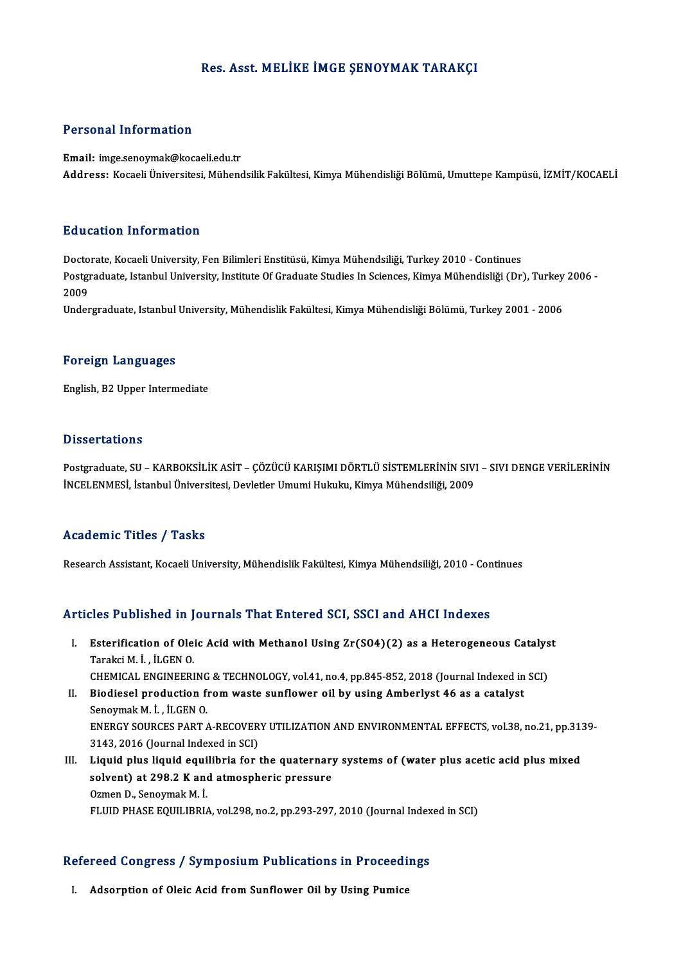#### Res. Asst.MELİKE İMGE ŞENOYMAK TARAKÇI

#### Personal Information

Email: imge.senoymak@kocaeli.edu.tr Address: Kocaeli Üniversitesi, Mühendsilik Fakültesi, Kimya Mühendisliği Bölümü, Umuttepe Kampüsü, İZMİT/KOCAELİ

#### Education Information

E<mark>ducation Information</mark><br>Doctorate, Kocaeli University, Fen Bilimleri Enstitüsü, Kimya Mühendsiliği, Turkey 2010 - Continues<br>Postsraduate Istanbul University, Institute Of Craduate Studies In Sciences, Kimya Mühendisliği (D Postgraduate, Istanbul University, Institute Of Graduate Studies In Sciences, Kimya Mühendisliği (Dr), Turkey 2006 -<br>2009 Docto<br>Postgi<br>2009<br>Under

Undergraduate, Istanbul University, Mühendislik Fakültesi, Kimya Mühendisliği Bölümü, Turkey 2001 - 2006

#### Foreign Languages

English,B2Upper Intermediate

#### **Dissertations**

Dissertations<br>Postgraduate, SU – KARBOKSİLİK ASİT – ÇÖZÜCÜ KARIŞIMI DÖRTLÜ SİSTEMLERİNİN SIVI – SIVI DENGE VERİLERİNİN<br>İNCELENMESİ, İstanbul Üniversitesi, Devletler Umumi Hululu, Kimve Mühandsiliği, 2009 BISSOI ULISIS<br>Postgraduate, SU – KARBOKSİLİK ASİT – ÇÖZÜCÜ KARIŞIMI DÖRTLÜ SİSTEMLERİNİN SIV<br>İNCELENMESİ, İstanbul Üniversitesi, Devletler Umumi Hukuku, Kimya Mühendsiliği, 2009 İNCELENMESİ, İstanbul Üniversitesi, Devletler Umumi Hukuku, Kimya Mühendsiliği, 2009<br>Academic Titles / Tasks

Research Assistant, Kocaeli University, Mühendislik Fakültesi, Kimya Mühendsiliği, 2010 - Continues

#### Articles Published in Journals That Entered SCI, SSCI and AHCI Indexes

- rticles Published in Journals That Entered SCI, SSCI and AHCI Indexes<br>I. Esterification of Oleic Acid with Methanol Using Zr(SO4)(2) as a Heterogeneous Catalyst<br>Taraksi M.J. U.CEN.O. The Table of the Hill<br>Esterification of Ole:<br>Tarakci M. İ. , İLGEN O.<br>CUEMICAL ENCINEEDI Esterification of Oleic Acid with Methanol Using Zr(SO4)(2) as a Heterogeneous Catalys<br>Tarakci M. İ. , İLGEN O.<br>CHEMICAL ENGINEERING & TECHNOLOGY, vol.41, no.4, pp.845-852, 2018 (Journal Indexed in SCI)<br>Piodiosel productio Tarakci M. İ. , İLGEN 0.<br>CHEMICAL ENGINEERING & TECHNOLOGY, vol.41, no.4, pp.845-852, 2018 (Journal Indexed in<br>II. Biodiesel production from waste sunflower oil by using Amberlyst 46 as a catalyst<br>Seneumek M. İ. İLGEN 0.
- CHEMICAL ENGINEERING<br>Biodiesel production fi<br>Senoymak M. İ. , İLGEN O.<br>ENEPCY SOUPCES PAPT / II. Biodiesel production from waste sunflower oil by using Amberlyst 46 as a catalyst<br>Senoymak M. İ. , İLGEN O.<br>ENERGY SOURCES PART A-RECOVERY UTILIZATION AND ENVIRONMENTAL EFFECTS, vol.38, no.21, pp.3139-3143, 2016 (Journal Indexed in SCI) ENERGY SOURCES PART A-RECOVERY UTILIZATION AND ENVIRONMENTAL EFFECTS, vol.38, no.21, pp.31.<br>3143, 2016 (Journal Indexed in SCI)<br>III. Liquid plus liquid equilibria for the quaternary systems of (water plus acetic acid plus
- 3143, 2016 (Journal Indexed in SCI)<br>Liquid plus liquid equilibria for the quaternary<br>solvent) at 298.2 K and atmospheric pressure Liquid plus liquid equi<br>solvent) at 298.2 K and<br>Ozmen D., Senoymak M. İ.<br>ELUID PHASE EQUILIPPLA solvent) at 298.2 K and atmospheric pressure<br>Ozmen D., Senoymak M. İ.<br>FLUID PHASE EQUILIBRIA, vol.298, no.2, pp.293-297, 2010 (Journal Indexed in SCI)

## rLOID PHASE EQUILIBRIA, VOL298, no.2, pp.293-297, 2010 (Journal Index<br>Refereed Congress / Symposium Publications in Proceedings efereed Congress / Symposium Publications in Proceedi<br>I. Adsorption of Oleic Acid from Sunflower Oil by Using Pumice